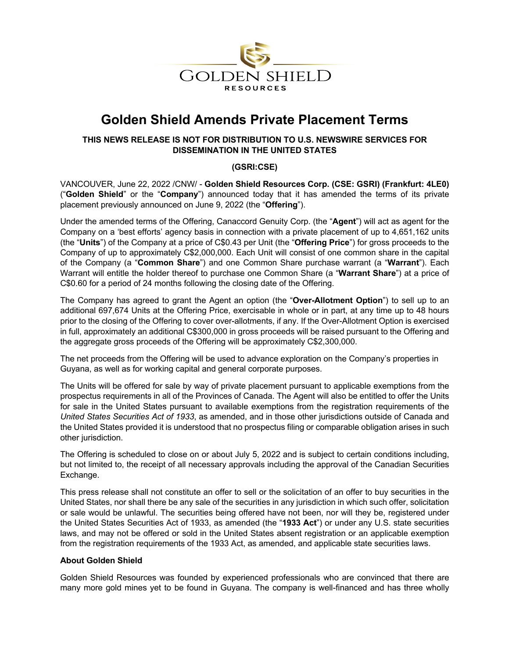

# **Golden Shield Amends Private Placement Terms**

# **THIS NEWS RELEASE IS NOT FOR DISTRIBUTION TO U.S. NEWSWIRE SERVICES FOR DISSEMINATION IN THE UNITED STATES**

# **(GSRI:CSE)**

VANCOUVER, June 22, 2022 /CNW/ - **Golden Shield Resources Corp. (CSE: GSRI) (Frankfurt: 4LE0)** ("**Golden Shield**" or the "**Company**") announced today that it has amended the terms of its private placement previously announced on June 9, 2022 (the "**Offering**").

Under the amended terms of the Offering, Canaccord Genuity Corp. (the "**Agent**") will act as agent for the Company on a 'best efforts' agency basis in connection with a private placement of up to 4,651,162 units (the "**Units**") of the Company at a price of C\$0.43 per Unit (the "**Offering Price**") for gross proceeds to the Company of up to approximately C\$2,000,000. Each Unit will consist of one common share in the capital of the Company (a "**Common Share**") and one Common Share purchase warrant (a "**Warrant**"). Each Warrant will entitle the holder thereof to purchase one Common Share (a "**Warrant Share**") at a price of C\$0.60 for a period of 24 months following the closing date of the Offering.

The Company has agreed to grant the Agent an option (the "**Over-Allotment Option**") to sell up to an additional 697,674 Units at the Offering Price, exercisable in whole or in part, at any time up to 48 hours prior to the closing of the Offering to cover over-allotments, if any. If the Over-Allotment Option is exercised in full, approximately an additional C\$300,000 in gross proceeds will be raised pursuant to the Offering and the aggregate gross proceeds of the Offering will be approximately C\$2,300,000.

The net proceeds from the Offering will be used to advance exploration on the Company's properties in Guyana, as well as for working capital and general corporate purposes.

The Units will be offered for sale by way of private placement pursuant to applicable exemptions from the prospectus requirements in all of the Provinces of Canada. The Agent will also be entitled to offer the Units for sale in the United States pursuant to available exemptions from the registration requirements of the *United States Securities Act of 1933*, as amended, and in those other jurisdictions outside of Canada and the United States provided it is understood that no prospectus filing or comparable obligation arises in such other jurisdiction.

The Offering is scheduled to close on or about July 5, 2022 and is subject to certain conditions including, but not limited to, the receipt of all necessary approvals including the approval of the Canadian Securities Exchange.

This press release shall not constitute an offer to sell or the solicitation of an offer to buy securities in the United States, nor shall there be any sale of the securities in any jurisdiction in which such offer, solicitation or sale would be unlawful. The securities being offered have not been, nor will they be, registered under the United States Securities Act of 1933, as amended (the "**1933 Act**") or under any U.S. state securities laws, and may not be offered or sold in the United States absent registration or an applicable exemption from the registration requirements of the 1933 Act, as amended, and applicable state securities laws.

### **About Golden Shield**

Golden Shield Resources was founded by experienced professionals who are convinced that there are many more gold mines yet to be found in Guyana. The company is well-financed and has three wholly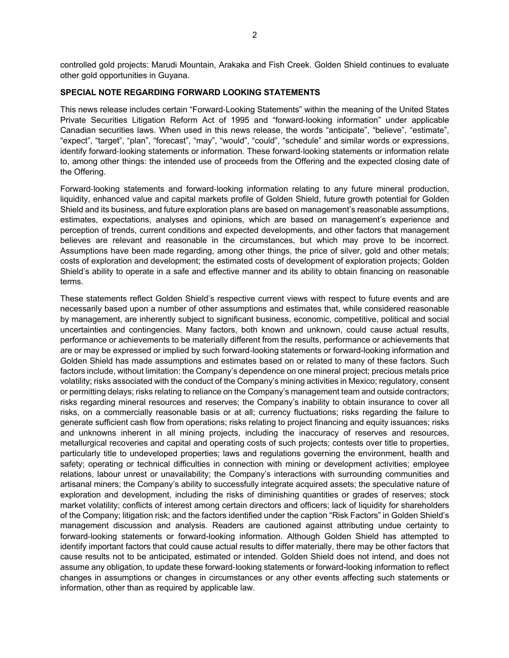controlled gold projects: Marudi Mountain, Arakaka and Fish Creek. Golden Shield continues to evaluate other gold opportunities in Guyana.

#### **SPECIAL NOTE REGARDING FORWARD LOOKING STATEMENTS**

This news release includes certain "Forward-Looking Statements" within the meaning of the United States Private Securities Litigation Reform Act of 1995 and "forward-looking information" under applicable Canadian securities laws. When used in this news release, the words "anticipate", "believe", "estimate", "expect", "target", "plan", "forecast", "may", "would", "could", "schedule" and similar words or expressions, identify forward-looking statements or information. These forward-looking statements or information relate to, among other things: the intended use of proceeds from the Offering and the expected closing date of the Offering.

Forward-looking statements and forward-looking information relating to any future mineral production, liquidity, enhanced value and capital markets profile of Golden Shield, future growth potential for Golden Shield and its business, and future exploration plans are based on management's reasonable assumptions, estimates, expectations, analyses and opinions, which are based on management's experience and perception of trends, current conditions and expected developments, and other factors that management believes are relevant and reasonable in the circumstances, but which may prove to be incorrect. Assumptions have been made regarding, among other things, the price of silver, gold and other metals; costs of exploration and development; the estimated costs of development of exploration projects; Golden Shield's ability to operate in a safe and effective manner and its ability to obtain financing on reasonable terms.

These statements reflect Golden Shield's respective current views with respect to future events and are necessarily based upon a number of other assumptions and estimates that, while considered reasonable by management, are inherently subject to significant business, economic, competitive, political and social uncertainties and contingencies. Many factors, both known and unknown, could cause actual results, performance or achievements to be materially different from the results, performance or achievements that are or may be expressed or implied by such forward-looking statements or forward-looking information and Golden Shield has made assumptions and estimates based on or related to many of these factors. Such factors include, without limitation: the Company's dependence on one mineral project; precious metals price volatility; risks associated with the conduct of the Company's mining activities in Mexico; regulatory, consent or permitting delays; risks relating to reliance on the Company's management team and outside contractors; risks regarding mineral resources and reserves; the Company's inability to obtain insurance to cover all risks, on a commercially reasonable basis or at all; currency fluctuations; risks regarding the failure to generate sufficient cash flow from operations; risks relating to project financing and equity issuances; risks and unknowns inherent in all mining projects, including the inaccuracy of reserves and resources, metallurgical recoveries and capital and operating costs of such projects; contests over title to properties, particularly title to undeveloped properties; laws and regulations governing the environment, health and safety; operating or technical difficulties in connection with mining or development activities; employee relations, labour unrest or unavailability; the Company's interactions with surrounding communities and artisanal miners; the Company's ability to successfully integrate acquired assets; the speculative nature of exploration and development, including the risks of diminishing quantities or grades of reserves; stock market volatility; conflicts of interest among certain directors and officers; lack of liquidity for shareholders of the Company; litigation risk; and the factors identified under the caption "Risk Factors" in Golden Shield's management discussion and analysis. Readers are cautioned against attributing undue certainty to forward-looking statements or forward-looking information. Although Golden Shield has attempted to identify important factors that could cause actual results to differ materially, there may be other factors that cause results not to be anticipated, estimated or intended. Golden Shield does not intend, and does not assume any obligation, to update these forward-looking statements or forward-looking information to reflect changes in assumptions or changes in circumstances or any other events affecting such statements or information, other than as required by applicable law.